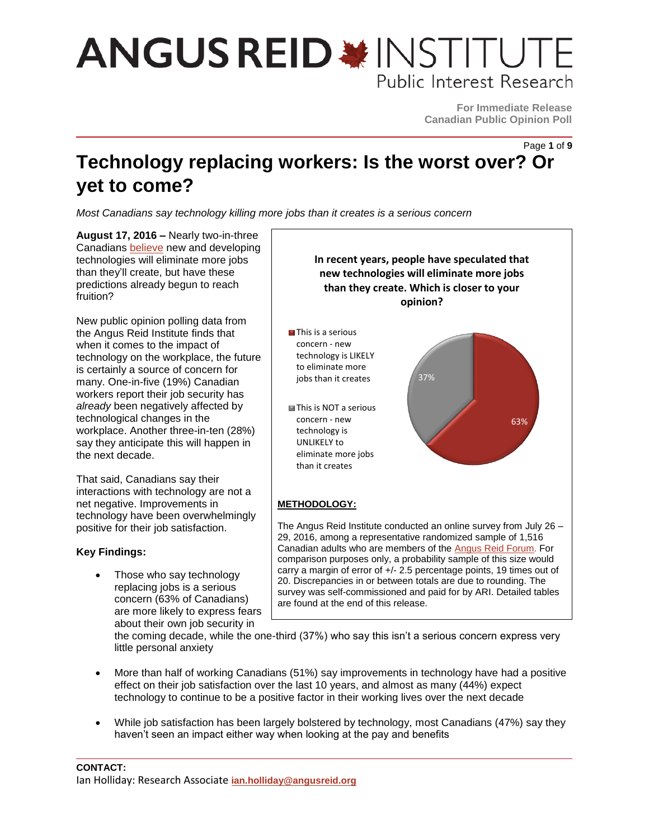# **ANGUS REID \*INSTITUTE** Public Interest Research

**For Immediate Release Canadian Public Opinion Poll**

Page **1** of **9**

### **Technology replacing workers: Is the worst over? Or yet to come?**

*Most Canadians say technology killing more jobs than it creates is a serious concern*

**August 17, 2016 –** Nearly two-in-three Canadians [believe](http://angusreid.org/guaranteed-income/) new and developing technologies will eliminate more jobs than they'll create, but have these predictions already begun to reach fruition?

New public opinion polling data from the Angus Reid Institute finds that when it comes to the impact of technology on the workplace, the future is certainly a source of concern for many. One-in-five (19%) Canadian workers report their job security has *already* been negatively affected by technological changes in the workplace. Another three-in-ten (28%) say they anticipate this will happen in the next decade.

That said, Canadians say their interactions with technology are not a net negative. Improvements in technology have been overwhelmingly positive for their job satisfaction.

#### **Key Findings:**

 Those who say technology replacing jobs is a serious concern (63% of Canadians) are more likely to express fears about their own job security in



the coming decade, while the one-third (37%) who say this isn't a serious concern express very little personal anxiety

- More than half of working Canadians (51%) say improvements in technology have had a positive effect on their job satisfaction over the last 10 years, and almost as many (44%) expect technology to continue to be a positive factor in their working lives over the next decade
- While job satisfaction has been largely bolstered by technology, most Canadians (47%) say they haven't seen an impact either way when looking at the pay and benefits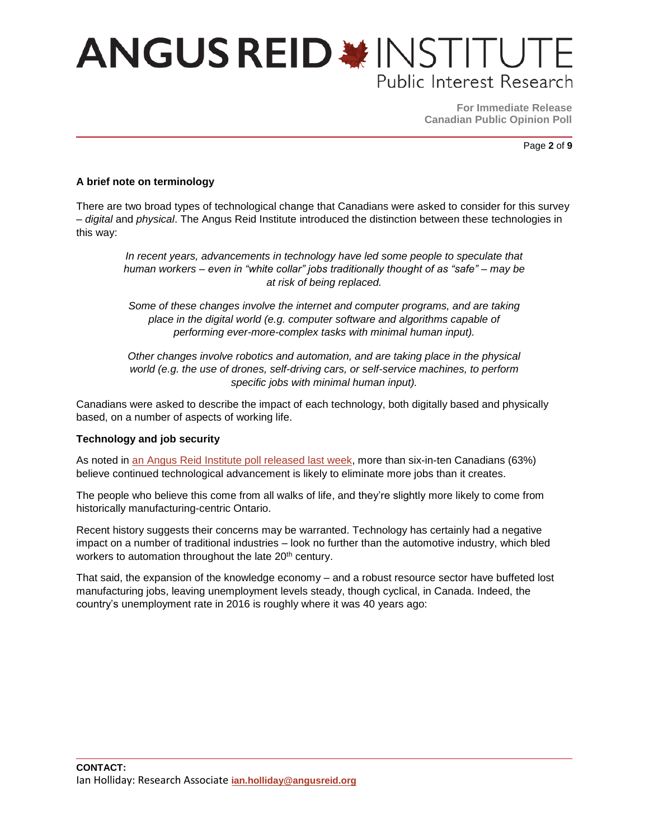# **ANGUS REID \* INSTITUTE** Public Interest Research

**For Immediate Release Canadian Public Opinion Poll**

Page **2** of **9**

#### **A brief note on terminology**

There are two broad types of technological change that Canadians were asked to consider for this survey – *digital* and *physical*. The Angus Reid Institute introduced the distinction between these technologies in this way:

*In recent years, advancements in technology have led some people to speculate that human workers – even in "white collar" jobs traditionally thought of as "safe" – may be at risk of being replaced.*

*Some of these changes involve the internet and computer programs, and are taking place in the digital world (e.g. computer software and algorithms capable of performing ever-more-complex tasks with minimal human input).* 

*Other changes involve robotics and automation, and are taking place in the physical world (e.g. the use of drones, self-driving cars, or self-service machines, to perform specific jobs with minimal human input).*

Canadians were asked to describe the impact of each technology, both digitally based and physically based, on a number of aspects of working life.

#### **Technology and job security**

As noted in an [Angus Reid Institute poll](http://angusreid.org/guaranteed-income/) released last week, more than six-in-ten Canadians (63%) believe continued technological advancement is likely to eliminate more jobs than it creates.

The people who believe this come from all walks of life, and they're slightly more likely to come from historically manufacturing-centric Ontario.

Recent history suggests their concerns may be warranted. Technology has certainly had a negative impact on a number of traditional industries – look no further than the automotive industry, which bled workers to automation throughout the late 20<sup>th</sup> century.

That said, the expansion of the knowledge economy – and a robust resource sector have buffeted lost manufacturing jobs, leaving unemployment levels steady, though cyclical, in Canada. Indeed, the country's unemployment rate in 2016 is roughly where it was 40 years ago: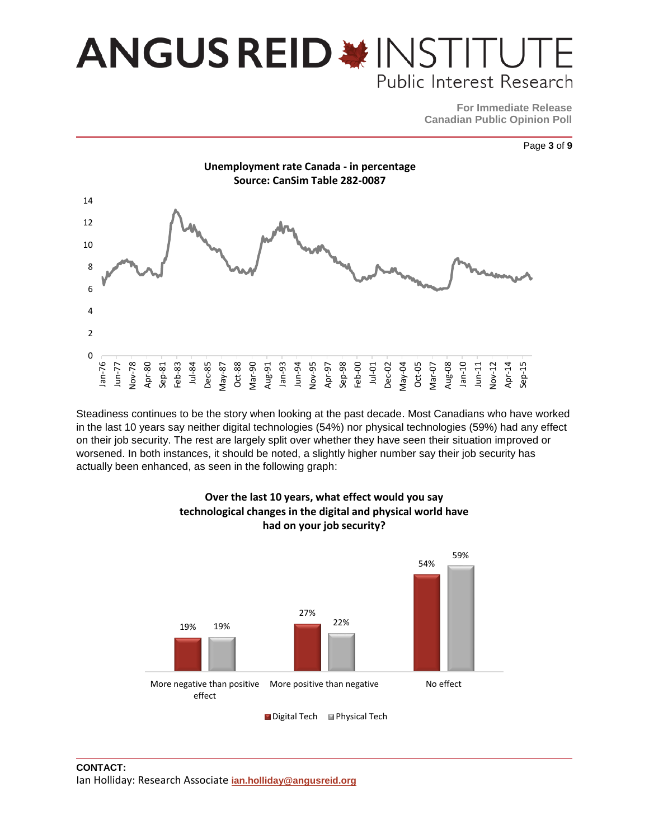### **ANGUS REID \*INSTITU** Public Interest Research

**For Immediate Release Canadian Public Opinion Poll**





Steadiness continues to be the story when looking at the past decade. Most Canadians who have worked in the last 10 years say neither digital technologies (54%) nor physical technologies (59%) had any effect on their job security. The rest are largely split over whether they have seen their situation improved or worsened. In both instances, it should be noted, a slightly higher number say their job security has actually been enhanced, as seen in the following graph:



#### **Over the last 10 years, what effect would you say technological changes in the digital and physical world have had on your job security?**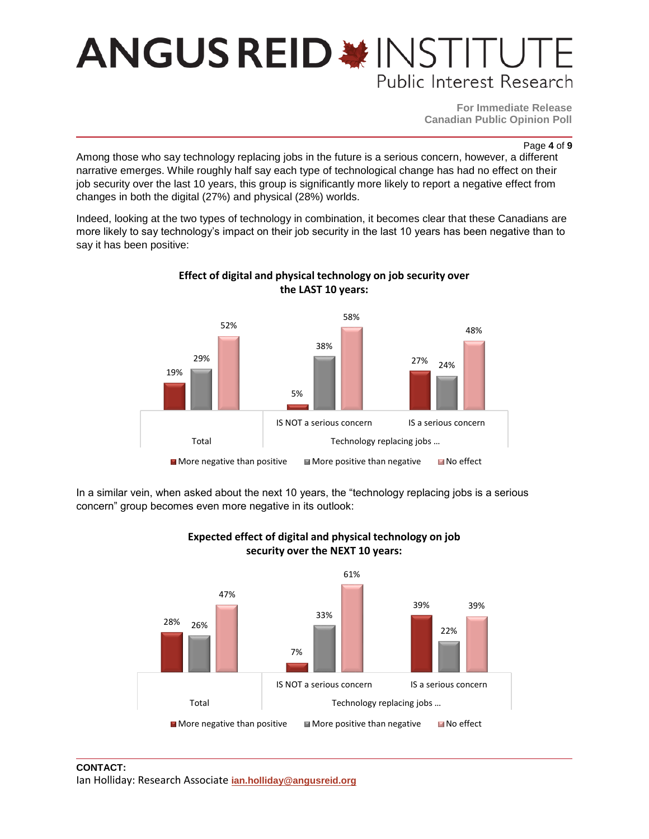### **ANGUS REID \* INSTITU** Public Interest Research

**For Immediate Release Canadian Public Opinion Poll**

Page **4** of **9**

Among those who say technology replacing jobs in the future is a serious concern, however, a different narrative emerges. While roughly half say each type of technological change has had no effect on their job security over the last 10 years, this group is significantly more likely to report a negative effect from changes in both the digital (27%) and physical (28%) worlds.

Indeed, looking at the two types of technology in combination, it becomes clear that these Canadians are more likely to say technology's impact on their job security in the last 10 years has been negative than to say it has been positive:



#### **Effect of digital and physical technology on job security over the LAST 10 years:**

In a similar vein, when asked about the next 10 years, the "technology replacing jobs is a serious concern" group becomes even more negative in its outlook:



#### **Expected effect of digital and physical technology on job security over the NEXT 10 years:**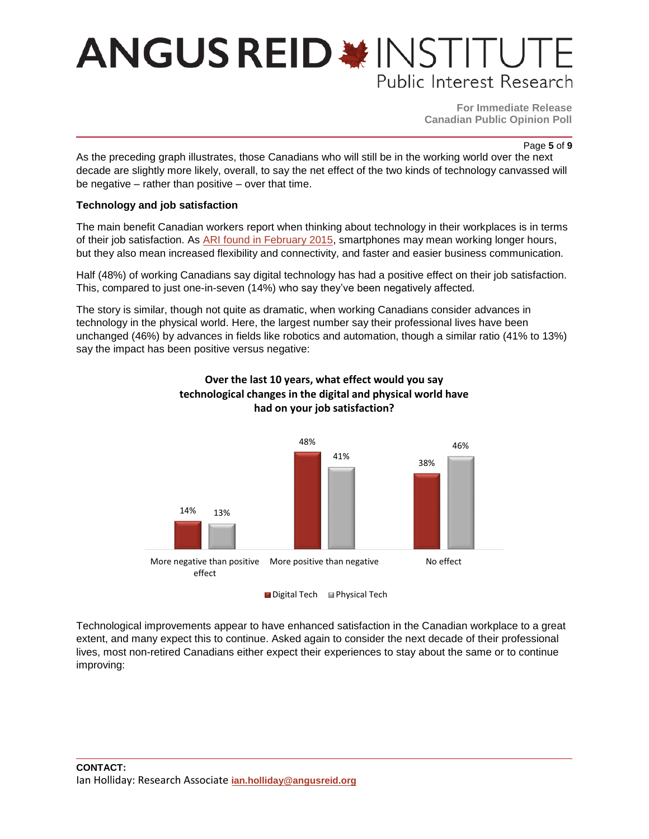### **ANGUS REID \*INSTITUTE** Public Interest Research

**For Immediate Release Canadian Public Opinion Poll**

#### Page **5** of **9**

As the preceding graph illustrates, those Canadians who will still be in the working world over the next decade are slightly more likely, overall, to say the net effect of the two kinds of technology canvassed will be negative – rather than positive – over that time.

#### **Technology and job satisfaction**

The main benefit Canadian workers report when thinking about technology in their workplaces is in terms of their job satisfaction. As **ARI found in February 2015**, smartphones may mean working longer hours, but they also mean increased flexibility and connectivity, and faster and easier business communication.

Half (48%) of working Canadians say digital technology has had a positive effect on their job satisfaction. This, compared to just one-in-seven (14%) who say they've been negatively affected.

The story is similar, though not quite as dramatic, when working Canadians consider advances in technology in the physical world. Here, the largest number say their professional lives have been unchanged (46%) by advances in fields like robotics and automation, though a similar ratio (41% to 13%) say the impact has been positive versus negative:



#### **Over the last 10 years, what effect would you say technological changes in the digital and physical world have had on your job satisfaction?**

Technological improvements appear to have enhanced satisfaction in the Canadian workplace to a great extent, and many expect this to continue. Asked again to consider the next decade of their professional lives, most non-retired Canadians either expect their experiences to stay about the same or to continue improving: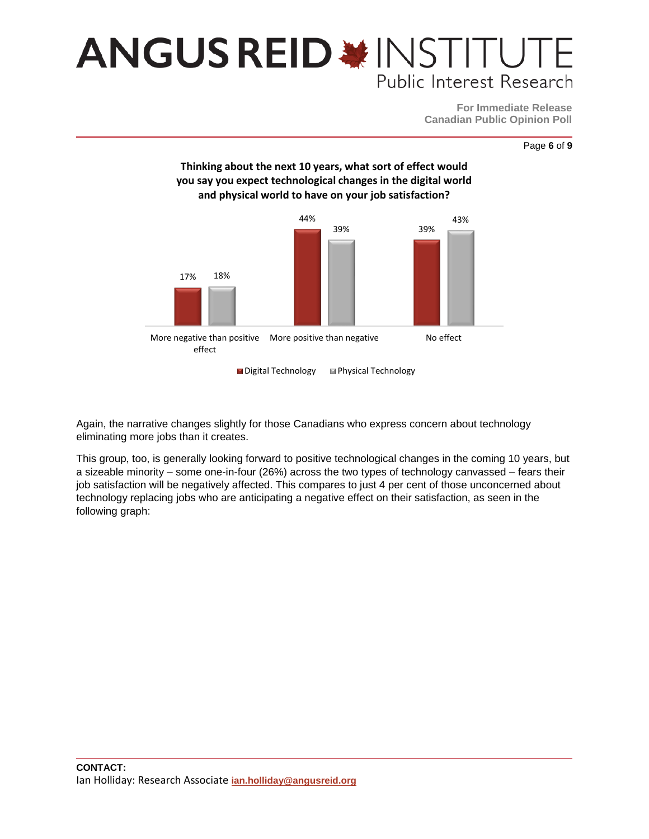### **ANGUS REID \*INSTITUT** Public Interest Research

**For Immediate Release Canadian Public Opinion Poll**





Again, the narrative changes slightly for those Canadians who express concern about technology eliminating more jobs than it creates.

This group, too, is generally looking forward to positive technological changes in the coming 10 years, but a sizeable minority – some one-in-four (26%) across the two types of technology canvassed – fears their job satisfaction will be negatively affected. This compares to just 4 per cent of those unconcerned about technology replacing jobs who are anticipating a negative effect on their satisfaction, as seen in the following graph: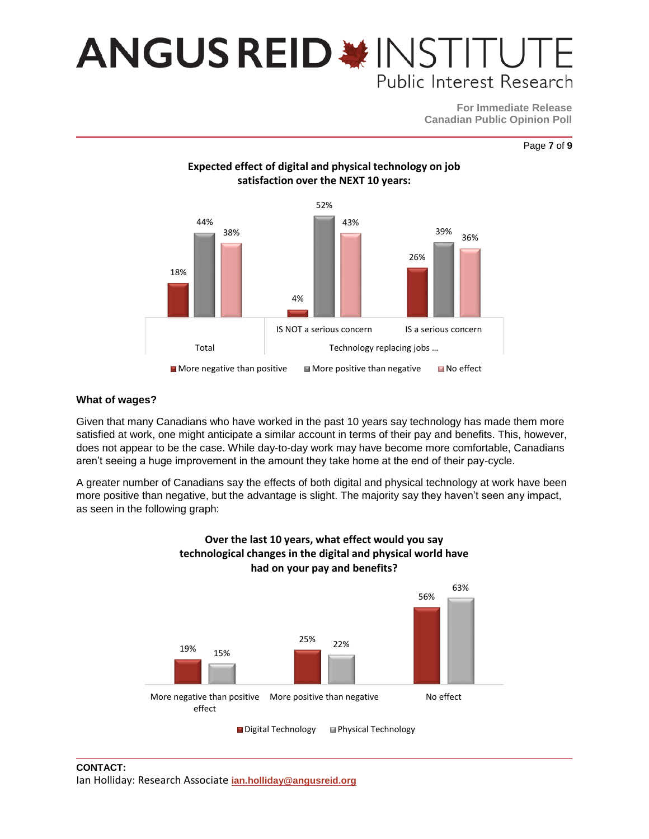### **ANGUS REID \* INSTITUT** Public Interest Research

**For Immediate Release Canadian Public Opinion Poll**

Page **7** of **9**



#### **What of wages?**

Given that many Canadians who have worked in the past 10 years say technology has made them more satisfied at work, one might anticipate a similar account in terms of their pay and benefits. This, however, does not appear to be the case. While day-to-day work may have become more comfortable, Canadians aren't seeing a huge improvement in the amount they take home at the end of their pay-cycle.

A greater number of Canadians say the effects of both digital and physical technology at work have been more positive than negative, but the advantage is slight. The majority say they haven't seen any impact, as seen in the following graph:



### **Over the last 10 years, what effect would you say technological changes in the digital and physical world have**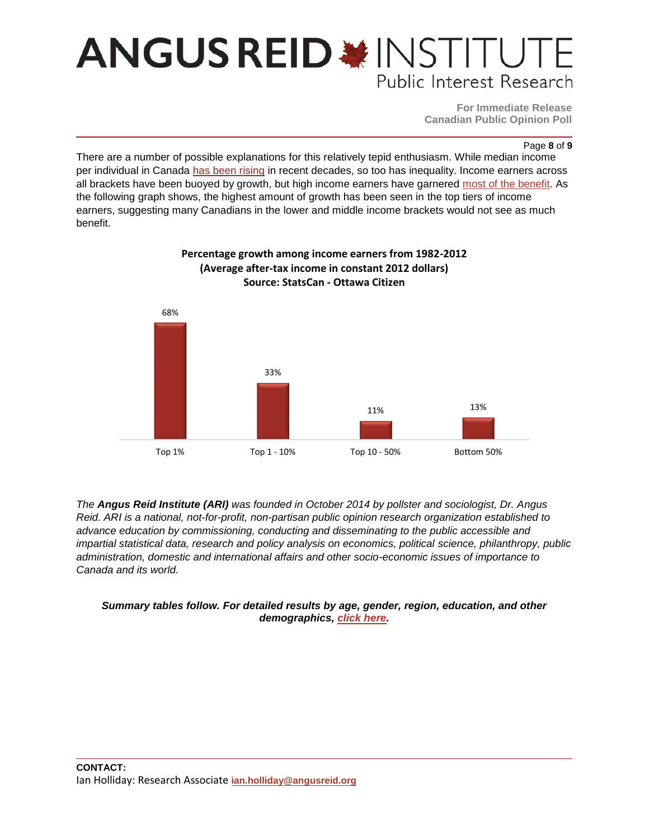### **ANGUS REID \* INSTITUT** Public Interest Research

**For Immediate Release Canadian Public Opinion Poll**

Page **8** of **9**

There are a number of possible explanations for this relatively tepid enthusiasm. While median income per individual in Canada [has been rising](http://www.budget.gc.ca/2016/docs/plan/introduction-en.html) in recent decades, so too has inequality. Income earners across all brackets have been buoyed by growth, but high income earners have garnered [most of the benefit.](http://ottawacitizen.com/news/politics/canadas-inequality-equation-why-more-growth-means-less-equality) As the following graph shows, the highest amount of growth has been seen in the top tiers of income earners, suggesting many Canadians in the lower and middle income brackets would not see as much benefit.



#### **Percentage growth among income earners from 1982-2012 (Average after-tax income in constant 2012 dollars) Source: StatsCan - Ottawa Citizen**

*The Angus Reid Institute (ARI) was founded in October 2014 by pollster and sociologist, Dr. Angus Reid. ARI is a national, not-for-profit, non-partisan public opinion research organization established to advance education by commissioning, conducting and disseminating to the public accessible and impartial statistical data, research and policy analysis on economics, political science, philanthropy, public administration, domestic and international affairs and other socio-economic issues of importance to Canada and its world.*

#### *Summary tables follow. For detailed results by age, gender, region, education, and other demographics, [click here.](http://angusreid.org/wp-content/uploads/2016/08/2016.08.16_Techandwork_ReleaseTables.pdf)*